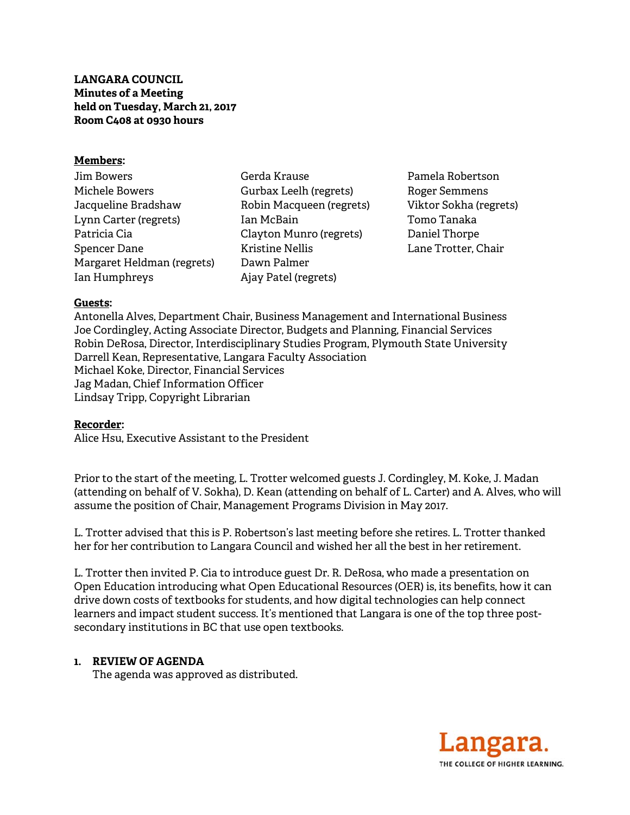**LANGARA COUNCIL Minutes of a Meeting held on Tuesday, March 21, 2017 Room C408 at 0930 hours** 

#### **Members:**

| Jim Bowers                 |
|----------------------------|
| Michele Bowers             |
| Jacqueline Bradshaw        |
| Lynn Carter (regrets)      |
| Patricia Cia               |
| Spencer Dane               |
| Margaret Heldman (regrets) |
| Ian Humphreys              |

Gerda Krause Gurbax Leelh (regrets) Robin Macqueen (regrets) Ian McBain Clayton Munro (regrets) Kristine Nellis Dawn Palmer Ajay Patel (regrets)

Pamela Robertson Roger Semmens Viktor Sokha (regrets) Tomo Tanaka Daniel Thorpe Lane Trotter, Chair

### **Guests:**

Antonella Alves, Department Chair, Business Management and International Business Joe Cordingley, Acting Associate Director, Budgets and Planning, Financial Services Robin DeRosa, Director, Interdisciplinary Studies Program, Plymouth State University Darrell Kean, Representative, Langara Faculty Association Michael Koke, Director, Financial Services Jag Madan, Chief Information Officer Lindsay Tripp, Copyright Librarian

#### **Recorder:**

Alice Hsu, Executive Assistant to the President

Prior to the start of the meeting, L. Trotter welcomed guests J. Cordingley, M. Koke, J. Madan (attending on behalf of V. Sokha), D. Kean (attending on behalf of L. Carter) and A. Alves, who will assume the position of Chair, Management Programs Division in May 2017.

L. Trotter advised that this is P. Robertson's last meeting before she retires. L. Trotter thanked her for her contribution to Langara Council and wished her all the best in her retirement.

L. Trotter then invited P. Cia to introduce guest Dr. R. DeRosa, who made a presentation on Open Education introducing what Open Educational Resources (OER) is, its benefits, how it can drive down costs of textbooks for students, and how digital technologies can help connect learners and impact student success. It's mentioned that Langara is one of the top three postsecondary institutions in BC that use open textbooks.

# **1. REVIEW OF AGENDA**

The agenda was approved as distributed.

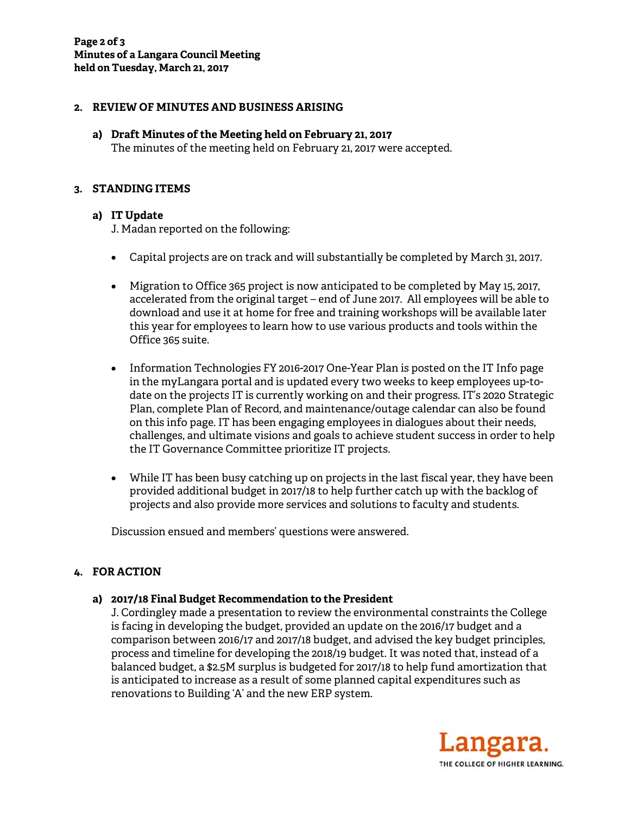## **2. REVIEW OF MINUTES AND BUSINESS ARISING**

# **a) Draft Minutes of the Meeting held on February 21, 2017**

The minutes of the meeting held on February 21, 2017 were accepted.

#### **3. STANDING ITEMS**

### **a) IT Update**

J. Madan reported on the following:

- Capital projects are on track and will substantially be completed by March 31, 2017.
- Migration to Office 365 project is now anticipated to be completed by May 15, 2017, accelerated from the original target – end of June 2017. All employees will be able to download and use it at home for free and training workshops will be available later this year for employees to learn how to use various products and tools within the Office 365 suite.
- Information Technologies FY 2016-2017 One-Year Plan is posted on the IT Info page in the myLangara portal and is updated every two weeks to keep employees up-todate on the projects IT is currently working on and their progress. IT's 2020 Strategic Plan, complete Plan of Record, and maintenance/outage calendar can also be found on this info page. IT has been engaging employees in dialogues about their needs, challenges, and ultimate visions and goals to achieve student success in order to help the IT Governance Committee prioritize IT projects.
- While IT has been busy catching up on projects in the last fiscal year, they have been provided additional budget in 2017/18 to help further catch up with the backlog of projects and also provide more services and solutions to faculty and students.

Discussion ensued and members' questions were answered.

# **4. FOR ACTION**

#### **a) 2017/18 Final Budget Recommendation to the President**

 J. Cordingley made a presentation to review the environmental constraints the College is facing in developing the budget, provided an update on the 2016/17 budget and a comparison between 2016/17 and 2017/18 budget, and advised the key budget principles, process and timeline for developing the 2018/19 budget. It was noted that, instead of a balanced budget, a \$2.5M surplus is budgeted for 2017/18 to help fund amortization that is anticipated to increase as a result of some planned capital expenditures such as renovations to Building 'A' and the new ERP system.